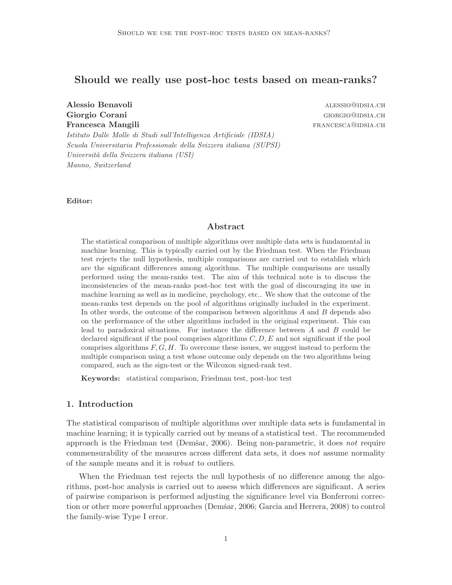# Should we really use post-hoc tests based on mean-ranks?

Alessio Benavoli alessio@idsia.ch Giorgio Corani alla controllata della controlla controllata di controllata di controllata di controllata di controllata di controllata di controllata di controllata di controllata di controllata di controllata di controlla Francesca Mangili **Francesca Mangili francesca** CH

Istituto Dalle Molle di Studi sull'Intelligenza Artificiale (IDSIA) Scuola Universitaria Professionale della Svizzera italiana (SUPSI) Universit`a della Svizzera italiana (USI) Manno, Switzerland

Editor:

### Abstract

The statistical comparison of multiple algorithms over multiple data sets is fundamental in machine learning. This is typically carried out by the Friedman test. When the Friedman test rejects the null hypothesis, multiple comparisons are carried out to establish which are the significant differences among algorithms. The multiple comparisons are usually performed using the mean-ranks test. The aim of this technical note is to discuss the inconsistencies of the mean-ranks post-hoc test with the goal of discouraging its use in machine learning as well as in medicine, psychology, etc.. We show that the outcome of the mean-ranks test depends on the pool of algorithms originally included in the experiment. In other words, the outcome of the comparison between algorithms A and B depends also on the performance of the other algorithms included in the original experiment. This can lead to paradoxical situations. For instance the difference between A and B could be declared significant if the pool comprises algorithms  $C, D, E$  and not significant if the pool comprises algorithms  $F, G, H$ . To overcome these issues, we suggest instead to perform the multiple comparison using a test whose outcome only depends on the two algorithms being compared, such as the sign-test or the Wilcoxon signed-rank test.

Keywords: statistical comparison, Friedman test, post-hoc test

## 1. Introduction

The statistical comparison of multiple algorithms over multiple data sets is fundamental in machine learning; it is typically carried out by means of a statistical test. The recommended approach is the Friedman test (Demšar, 2006). Being non-parametric, it does not require commensurability of the measures across different data sets, it does not assume normality of the sample means and it is robust to outliers.

When the Friedman test rejects the null hypothesis of no difference among the algorithms, post-hoc analysis is carried out to assess which differences are significant. A series of pairwise comparison is performed adjusting the significance level via Bonferroni correction or other more powerful approaches (Demšar, 2006; Garcia and Herrera, 2008) to control the family-wise Type I error.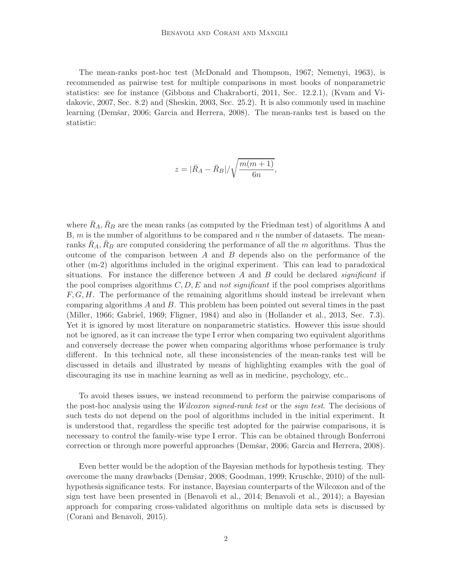The mean-ranks post-hoc test (McDonald and Thompson, 1967; Nemenyi, 1963), is recommended as pairwise test for multiple comparisons in most books of nonparametric statistics: see for instance (Gibbons and Chakraborti, 2011, Sec. 12.2.1), (Kvam and Vidakovic, 2007, Sec. 8.2) and (Sheskin, 2003, Sec. 25.2). It is also commonly used in machine learning (Demšar, 2006; Garcia and Herrera, 2008). The mean-ranks test is based on the statistic:

$$
z = |\bar{R}_A - \bar{R}_B| / \sqrt{\frac{m(m+1)}{6n}},
$$

where  $\bar{R}_A, \bar{R}_B$  are the mean ranks (as computed by the Friedman test) of algorithms A and B,  $m$  is the number of algorithms to be compared and  $n$  the number of datasets. The meanranks  $R_A, R_B$  are computed considering the performance of all the m algorithms. Thus the outcome of the comparison between  $A$  and  $B$  depends also on the performance of the other (m-2) algorithms included in the original experiment. This can lead to paradoxical situations. For instance the difference between  $A$  and  $B$  could be declared *significant* if the pool comprises algorithms  $C, D, E$  and not significant if the pool comprises algorithms  $F, G, H$ . The performance of the remaining algorithms should instead be irrelevant when comparing algorithms A and B. This problem has been pointed out several times in the past (Miller, 1966; Gabriel, 1969; Fligner, 1984) and also in (Hollander et al., 2013, Sec. 7.3). Yet it is ignored by most literature on nonparametric statistics. However this issue should not be ignored, as it can increase the type I error when comparing two equivalent algorithms and conversely decrease the power when comparing algorithms whose performance is truly different. In this technical note, all these inconsistencies of the mean-ranks test will be discussed in details and illustrated by means of highlighting examples with the goal of discouraging its use in machine learning as well as in medicine, psychology, etc..

To avoid theses issues, we instead recommend to perform the pairwise comparisons of the post-hoc analysis using the *Wilcoxon signed-rank test* or the *sign test*. The decisions of such tests do not depend on the pool of algorithms included in the initial experiment. It is understood that, regardless the specific test adopted for the pairwise comparisons, it is necessary to control the family-wise type I error. This can be obtained through Bonferroni correction or through more powerful approaches (Demšar, 2006; Garcia and Herrera, 2008).

Even better would be the adoption of the Bayesian methods for hypothesis testing. They overcome the many drawbacks (Demšar, 2008; Goodman, 1999; Kruschke, 2010) of the nullhypothesis significance tests. For instance, Bayesian counterparts of the Wilcoxon and of the sign test have been presented in (Benavoli et al., 2014; Benavoli et al., 2014); a Bayesian approach for comparing cross-validated algorithms on multiple data sets is discussed by (Corani and Benavoli, 2015).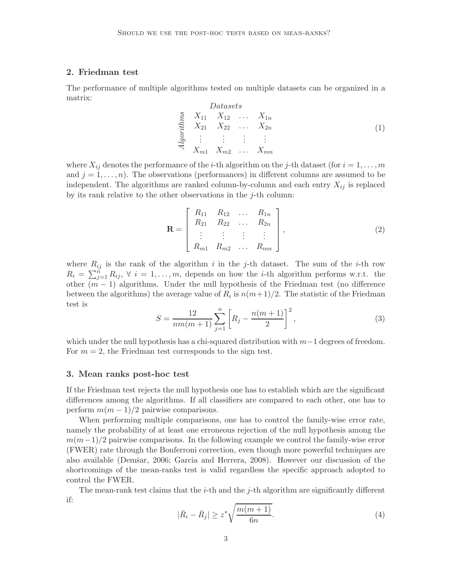## 2. Friedman test

The performance of multiple algorithms tested on multiple datasets can be organized in a matrix:  $\overline{D}$ 

$$
\begin{array}{cccc}\n\sum_{1}^{S} & X_{11} & X_{12} & \dots & X_{1n} \\
\sum_{1}^{S} & X_{21} & X_{22} & \dots & X_{2n} \\
\vdots & \vdots & \vdots & \vdots & \vdots \\
\sum_{n}^{S} & X_{m1} & X_{m2} & \dots & X_{mn}\n\end{array} \tag{1}
$$

where  $X_{ij}$  denotes the performance of the *i*-th algorithm on the *j*-th dataset (for  $i = 1, \ldots, m$ and  $j = 1, \ldots, n$ . The observations (performances) in different columns are assumed to be independent. The algorithms are ranked column-by-column and each entry  $X_{ij}$  is replaced by its rank relative to the other observations in the  $j$ -th column:

$$
\mathbf{R} = \begin{bmatrix} R_{11} & R_{12} & \dots & R_{1n} \\ R_{21} & R_{22} & \dots & R_{2n} \\ \vdots & \vdots & \vdots & \vdots \\ R_{m1} & R_{m2} & \dots & R_{mn} \end{bmatrix},
$$
(2)

where  $R_{ij}$  is the rank of the algorithm i in the j-th dataset. The sum of the i-th row  $R_i = \sum_{j=1}^n R_{ij}, \forall i = 1, \ldots, m$ , depends on how the *i*-th algorithm performs w.r.t. the other  $(m-1)$  algorithms. Under the null hypothesis of the Friedman test (no difference between the algorithms) the average value of  $R_i$  is  $n(m+1)/2$ . The statistic of the Friedman test is

$$
S = \frac{12}{nm(m+1)} \sum_{j=1}^{n} \left[ R_j - \frac{n(m+1)}{2} \right]^2,
$$
\n(3)

which under the null hypothesis has a chi-squared distribution with  $m-1$  degrees of freedom. For  $m = 2$ , the Friedman test corresponds to the sign test.

#### 3. Mean ranks post-hoc test

If the Friedman test rejects the null hypothesis one has to establish which are the significant differences among the algorithms. If all classifiers are compared to each other, one has to perform  $m(m-1)/2$  pairwise comparisons.

When performing multiple comparisons, one has to control the family-wise error rate, namely the probability of at least one erroneous rejection of the null hypothesis among the  $m(m-1)/2$  pairwise comparisons. In the following example we control the family-wise error (FWER) rate through the Bonferroni correction, even though more powerful techniques are also available (Demšar, 2006; Garcia and Herrera, 2008). However our discussion of the shortcomings of the mean-ranks test is valid regardless the specific approach adopted to control the FWER.

The mean-rank test claims that the  $i$ -th and the  $j$ -th algorithm are significantly different if:

$$
|\bar{R}_i - \bar{R}_j| \ge z^* \sqrt{\frac{m(m+1)}{6n}}.
$$
 (4)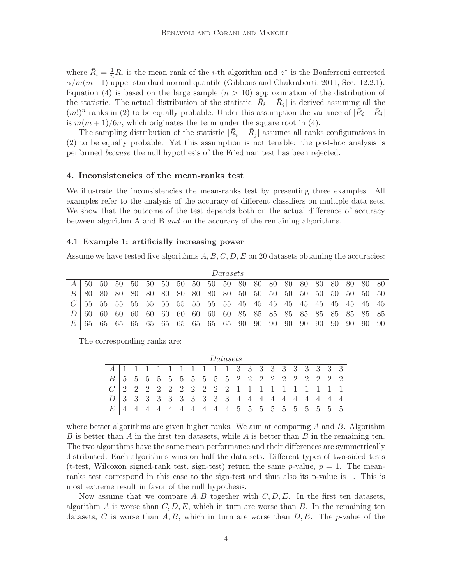where  $\bar{R}_i = \frac{1}{n}R_i$  is the mean rank of the *i*-th algorithm and  $z^*$  is the Bonferroni corrected  $\alpha/m(m-1)$  upper standard normal quantile (Gibbons and Chakraborti, 2011, Sec. 12.2.1). Equation (4) is based on the large sample  $(n > 10)$  approximation of the distribution of the statistic. The actual distribution of the statistic  $|\bar{R}_i - \bar{R}_j|$  is derived assuming all the  $(m!)^n$  ranks in (2) to be equally probable. Under this assumption the variance of  $|\bar{R}_i - \bar{R}_j|$ is  $m(m+1)/6n$ , which originates the term under the square root in (4).

The sampling distribution of the statistic  $|\bar{R}_i - \bar{R}_j|$  assumes all ranks configurations in (2) to be equally probable. Yet this assumption is not tenable: the post-hoc analysis is performed because the null hypothesis of the Friedman test has been rejected.

### 4. Inconsistencies of the mean-ranks test

We illustrate the inconsistencies the mean-ranks test by presenting three examples. All examples refer to the analysis of the accuracy of different classifiers on multiple data sets. We show that the outcome of the test depends both on the actual difference of accuracy between algorithm A and B and on the accuracy of the remaining algorithms.

#### 4.1 Example 1: artificially increasing power

Assume we have tested five algorithms  $A, B, C, D, E$  on 20 datasets obtaining the accuracies:

| <i>Datasets</i> |  |  |  |  |  |  |  |  |  |  |  |  |  |  |  |                                                                         |  |
|-----------------|--|--|--|--|--|--|--|--|--|--|--|--|--|--|--|-------------------------------------------------------------------------|--|
|                 |  |  |  |  |  |  |  |  |  |  |  |  |  |  |  | $A \mid 50$ 50 50 50 50 50 50 50 50 50 80 80 80 80 80 80 80 80 80 80 80 |  |
|                 |  |  |  |  |  |  |  |  |  |  |  |  |  |  |  | <i>B</i>   80 80 80 80 80 80 80 80 80 80 50 50 50 50 50 50 50 50 50 50  |  |
|                 |  |  |  |  |  |  |  |  |  |  |  |  |  |  |  | $C$ 55 55 55 55 55 55 55 55 55 55 65 45 45 45 45 45 45 45 45 45 45      |  |
|                 |  |  |  |  |  |  |  |  |  |  |  |  |  |  |  |                                                                         |  |
|                 |  |  |  |  |  |  |  |  |  |  |  |  |  |  |  |                                                                         |  |

The corresponding ranks are:

| <i>Datasets</i> |  |  |  |  |  |  |  |  |  |  |  |  |  |  |  |  |  |
|-----------------|--|--|--|--|--|--|--|--|--|--|--|--|--|--|--|--|--|
|                 |  |  |  |  |  |  |  |  |  |  |  |  |  |  |  |  |  |
|                 |  |  |  |  |  |  |  |  |  |  |  |  |  |  |  |  |  |
|                 |  |  |  |  |  |  |  |  |  |  |  |  |  |  |  |  |  |
|                 |  |  |  |  |  |  |  |  |  |  |  |  |  |  |  |  |  |
| $E_{\perp}$     |  |  |  |  |  |  |  |  |  |  |  |  |  |  |  |  |  |

where better algorithms are given higher ranks. We aim at comparing  $A$  and  $B$ . Algorithm B is better than A in the first ten datasets, while A is better than B in the remaining ten. The two algorithms have the same mean performance and their differences are symmetrically distributed. Each algorithms wins on half the data sets. Different types of two-sided tests (t-test, Wilcoxon signed-rank test, sign-test) return the same p-value,  $p = 1$ . The meanranks test correspond in this case to the sign-test and thus also its p-value is 1. This is most extreme result in favor of the null hypothesis.

Now assume that we compare  $A, B$  together with  $C, D, E$ . In the first ten datasets, algorithm A is worse than  $C, D, E$ , which in turn are worse than B. In the remaining ten datasets, C is worse than  $A, B$ , which in turn are worse than  $D, E$ . The p-value of the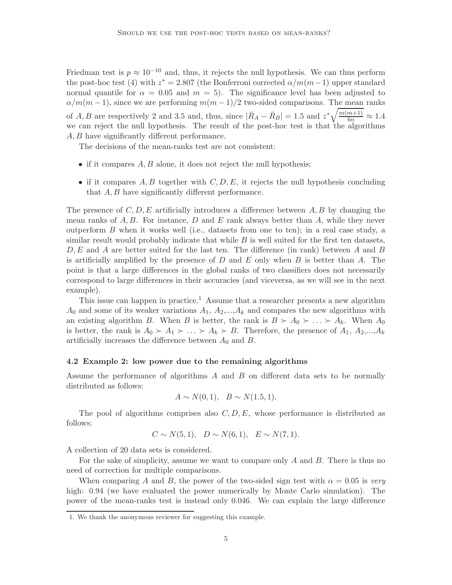Friedman test is  $p \approx 10^{-10}$  and, thus, it rejects the null hypothesis. We can thus perform the post-hoc test (4) with  $z^* = 2.807$  (the Bonferroni corrected  $\alpha/m(m-1)$  upper standard normal quantile for  $\alpha = 0.05$  and  $m = 5$ ). The significance level has been adjusted to  $\alpha/m(m-1)$ , since we are performing  $m(m-1)/2$  two-sided comparisons. The mean ranks of A, B are respectively 2 and 3.5 and, thus, since  $|\bar{R}_A - \bar{R}_B| = 1.5$  and  $z^* \sqrt{\frac{m(m+1)}{6n}} \approx 1.4$ we can reject the null hypothesis. The result of the post-hoc test is that the algorithms A, B have significantly different performance.

The decisions of the mean-ranks test are not consistent:

- if it compares  $A, B$  alone, it does not reject the null hypothesis;
- if it compares  $A, B$  together with  $C, D, E$ , it rejects the null hypothesis concluding that A, B have significantly different performance.

The presence of  $C, D, E$  artificially introduces a difference between  $A, B$  by changing the mean ranks of  $A, B$ . For instance, D and E rank always better than A, while they never outperform  $B$  when it works well (i.e., datasets from one to ten); in a real case study, a similar result would probably indicate that while  $B$  is well suited for the first ten datasets,  $D, E$  and A are better suited for the last ten. The difference (in rank) between A and B is artificially amplified by the presence of  $D$  and  $E$  only when  $B$  is better than  $A$ . The point is that a large differences in the global ranks of two classifiers does not necessarily correspond to large differences in their accuracies (and viceversa, as we will see in the next example).

This issue can happen in practice.<sup>1</sup> Assume that a researcher presents a new algorithm  $A_0$  and some of its weaker variations  $A_1, A_2, ..., A_k$  and compares the new algorithms with an existing algorithm B. When B is better, the rank is  $B \succ A_0 \succ \ldots \succ A_k$ . When  $A_0$ is better, the rank is  $A_0 \succ A_1 \succ \ldots \succ A_k \succ B$ . Therefore, the presence of  $A_1, A_2, \ldots, A_k$ artificially increases the difference between  $A_0$  and  $B$ .

### 4.2 Example 2: low power due to the remaining algorithms

Assume the performance of algorithms A and B on different data sets to be normally distributed as follows:

$$
A \sim N(0, 1), B \sim N(1.5, 1).
$$

The pool of algorithms comprises also  $C, D, E$ , whose performance is distributed as follows:

$$
C \sim N(5, 1), \quad D \sim N(6, 1), \quad E \sim N(7, 1).
$$

A collection of 20 data sets is considered.

For the sake of simplicity, assume we want to compare only  $A$  and  $B$ . There is thus no need of correction for multiple comparisons.

When comparing A and B, the power of the two-sided sign test with  $\alpha = 0.05$  is very high:  $0.94$  (we have evaluated the power numerically by Monte Carlo simulation). The power of the mean-ranks test is instead only 0.046. We can explain the large difference

<sup>1.</sup> We thank the anonymous reviewer for suggesting this example.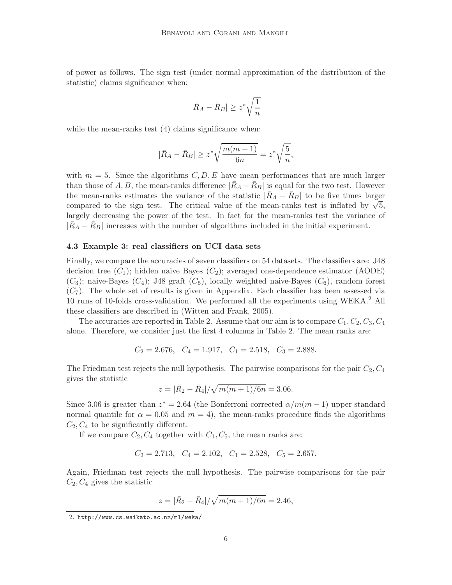of power as follows. The sign test (under normal approximation of the distribution of the statistic) claims significance when:

$$
|\bar{R}_A - \bar{R}_B| \ge z^* \sqrt{\frac{1}{n}}
$$

while the mean-ranks test  $(4)$  claims significance when:

$$
|\bar{R}_A - \bar{R}_B| \geq z^* \sqrt{\frac{m(m+1)}{6n}} = z^* \sqrt{\frac{5}{n}},
$$

with  $m = 5$ . Since the algorithms  $C, D, E$  have mean performances that are much larger than those of A, B, the mean-ranks difference  $|R_A - R_B|$  is equal for the two test. However the mean-ranks estimates the variance of the statistic  $|R_A - R_B|$  to be five times larger compared to the sign test. The critical value of the mean-ranks test is inflated by  $\sqrt{5}$ , largely decreasing the power of the test. In fact for the mean-ranks test the variance of  $|R_A - R_B|$  increases with the number of algorithms included in the initial experiment.

#### 4.3 Example 3: real classifiers on UCI data sets

Finally, we compare the accuracies of seven classifiers on 54 datasets. The classifiers are: J48 decision tree  $(C_1)$ ; hidden naive Bayes  $(C_2)$ ; averaged one-dependence estimator (AODE)  $(C_3)$ ; naive-Bayes  $(C_4)$ ; J48 graft  $(C_5)$ , locally weighted naive-Bayes  $(C_6)$ , random forest  $(C_7)$ . The whole set of results is given in Appendix. Each classifier has been assessed via 10 runs of 10-folds cross-validation. We performed all the experiments using WEKA.<sup>2</sup> All these classifiers are described in (Witten and Frank, 2005).

The accuracies are reported in Table 2. Assume that our aim is to compare  $C_1, C_2, C_3, C_4$ alone. Therefore, we consider just the first 4 columns in Table 2. The mean ranks are:

$$
C_2 = 2.676
$$
,  $C_4 = 1.917$ ,  $C_1 = 2.518$ ,  $C_3 = 2.888$ .

The Friedman test rejects the null hypothesis. The pairwise comparisons for the pair  $C_2, C_4$ gives the statistic

$$
z = |\bar{R}_2 - \bar{R}_4| / \sqrt{m(m+1)/6n} = 3.06.
$$

Since 3.06 is greater than  $z^* = 2.64$  (the Bonferroni corrected  $\alpha/m(m-1)$  upper standard normal quantile for  $\alpha = 0.05$  and  $m = 4$ ), the mean-ranks procedure finds the algorithms  $C_2, C_4$  to be significantly different.

If we compare  $C_2, C_4$  together with  $C_1, C_5$ , the mean ranks are:

$$
C_2 = 2.713
$$
,  $C_4 = 2.102$ ,  $C_1 = 2.528$ ,  $C_5 = 2.657$ .

Again, Friedman test rejects the null hypothesis. The pairwise comparisons for the pair  $C_2, C_4$  gives the statistic

$$
z = |\bar{R}_2 - \bar{R}_4| / \sqrt{m(m+1)/6n} = 2.46,
$$

<sup>2.</sup> http://www.cs.waikato.ac.nz/ml/weka/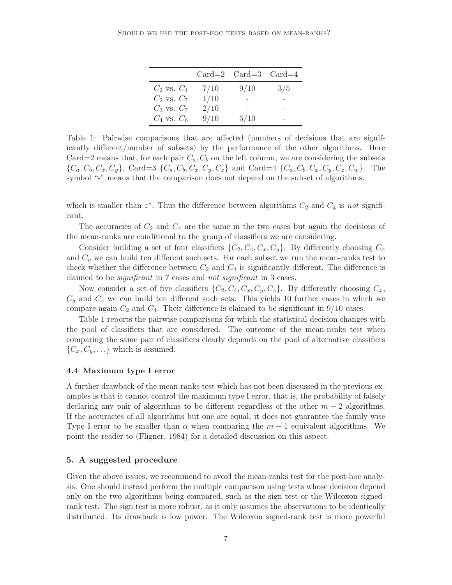|                 |      | $Card=2$ $Card=3$ $Card=4$ |     |
|-----------------|------|----------------------------|-----|
| $C_2$ vs. $C_4$ | 7/10 | 9/10                       | 3/5 |
| $C_2$ vs. $C_7$ | 1/10 |                            |     |
| $C_3$ vs. $C_7$ | 2/10 |                            |     |
| $C_4$ vs. $C_6$ | 9/10 | 5/10                       |     |

Table 1: Pairwise comparisons that are affected (numbers of decisions that are significantly different/number of subsets) by the performance of the other algorithms. Here Card=2 means that, for each pair  $C_a$ ,  $C_b$  on the left column, we are considering the subsets  ${C_a, C_b, C_x, C_y}, \text{Card}=3 \{C_a, C_b, C_x, C_y, C_z\}$  and Card  $=4 \{C_a, C_b, C_x, C_y, C_z, C_w\}.$  The symbol "-" means that the comparison does not depend on the subset of algorithms.

which is smaller than  $z^*$ . Thus the difference between algorithms  $C_2$  and  $C_4$  is not significant.

The accuracies of  $C_2$  and  $C_4$  are the same in the two cases but again the decisions of the mean-ranks are conditional to the group of classifiers we are considering.

Consider building a set of four classifiers  $\{C_2, C_4, C_x, C_y\}$ . By differently choosing  $C_x$ and  $C_y$  we can build ten different such sets. For each subset we run the mean-ranks test to check whether the difference between  $C_2$  and  $C_4$  is significantly different. The difference is claimed to be *significant* in 7 cases and *not significant* in 3 cases.

Now consider a set of five classifiers  $\{C_2, C_4, C_x, C_y, C_z\}$ . By differently choosing  $C_x$ ,  $C_y$  and  $C_z$  we can build ten different such sets. This yields 10 further cases in which we compare again  $C_2$  and  $C_4$ . Their difference is claimed to be significant in 9/10 cases.

Table 1 reports the pairwise comparisons for which the statistical decision changes with the pool of classifiers that are considered. The outcome of the mean-ranks test when comparing the same pair of classifiers clearly depends on the pool of alternative classifiers  $\{C_x, C_y, \ldots\}$  which is assumed.

#### 4.4 Maximum type I error

A further drawback of the mean-ranks test which has not been discussed in the previous examples is that it cannot control the maximum type I error, that is, the probability of falsely declaring any pair of algorithms to be different regardless of the other  $m - 2$  algorithms. If the accuracies of all algorithms but one are equal, it does not guarantee the family-wise Type I error to be smaller than  $\alpha$  when comparing the  $m-1$  equivalent algorithms. We point the reader to (Fligner, 1984) for a detailed discussion on this aspect.

## 5. A suggested procedure

Given the above issues, we recommend to avoid the mean-ranks test for the post-hoc analysis. One should instead perform the multiple comparison using tests whose decision depend only on the two algorithms being compared, such as the sign test or the Wilcoxon signedrank test. The sign test is more robust, as it only assumes the observations to be identically distributed. Its drawback is low power. The Wilcoxon signed-rank test is more powerful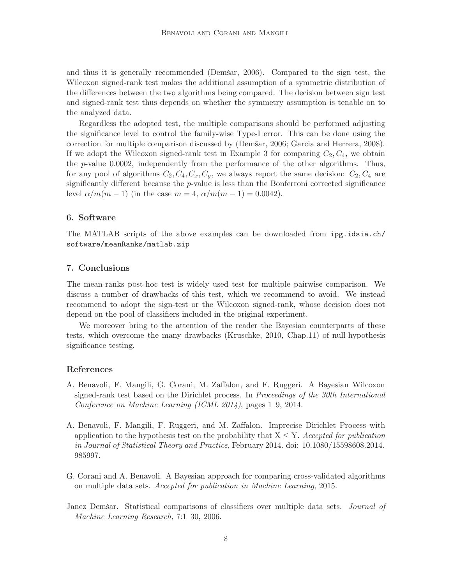and thus it is generally recommended (Demšar, 2006). Compared to the sign test, the Wilcoxon signed-rank test makes the additional assumption of a symmetric distribution of the differences between the two algorithms being compared. The decision between sign test and signed-rank test thus depends on whether the symmetry assumption is tenable on to the analyzed data.

Regardless the adopted test, the multiple comparisons should be performed adjusting the significance level to control the family-wise Type-I error. This can be done using the correction for multiple comparison discussed by (Demšar, 2006; Garcia and Herrera, 2008). If we adopt the Wilcoxon signed-rank test in Example 3 for comparing  $C_2, C_4$ , we obtain the p-value 0.0002, independently from the performance of the other algorithms. Thus, for any pool of algorithms  $C_2, C_4, C_x, C_y$ , we always report the same decision:  $C_2, C_4$  are significantly different because the  $p$ -value is less than the Bonferroni corrected significance level  $\alpha/m(m-1)$  (in the case  $m = 4$ ,  $\alpha/m(m-1) = 0.0042$ ).

### 6. Software

The MATLAB scripts of the above examples can be downloaded from ipg.idsia.ch/ software/meanRanks/matlab.zip

## 7. Conclusions

The mean-ranks post-hoc test is widely used test for multiple pairwise comparison. We discuss a number of drawbacks of this test, which we recommend to avoid. We instead recommend to adopt the sign-test or the Wilcoxon signed-rank, whose decision does not depend on the pool of classifiers included in the original experiment.

We moreover bring to the attention of the reader the Bayesian counterparts of these tests, which overcome the many drawbacks (Kruschke, 2010, Chap.11) of null-hypothesis significance testing.

### References

- A. Benavoli, F. Mangili, G. Corani, M. Zaffalon, and F. Ruggeri. A Bayesian Wilcoxon signed-rank test based on the Dirichlet process. In Proceedings of the 30th International Conference on Machine Learning (ICML 2014), pages 1–9, 2014.
- A. Benavoli, F. Mangili, F. Ruggeri, and M. Zaffalon. Imprecise Dirichlet Process with application to the hypothesis test on the probability that  $X \leq Y$ . Accepted for publication in Journal of Statistical Theory and Practice, February 2014. doi: 10.1080/15598608.2014. 985997.
- G. Corani and A. Benavoli. A Bayesian approach for comparing cross-validated algorithms on multiple data sets. Accepted for publication in Machine Learning, 2015.
- Janez Demšar. Statistical comparisons of classifiers over multiple data sets. *Journal of* Machine Learning Research, 7:1–30, 2006.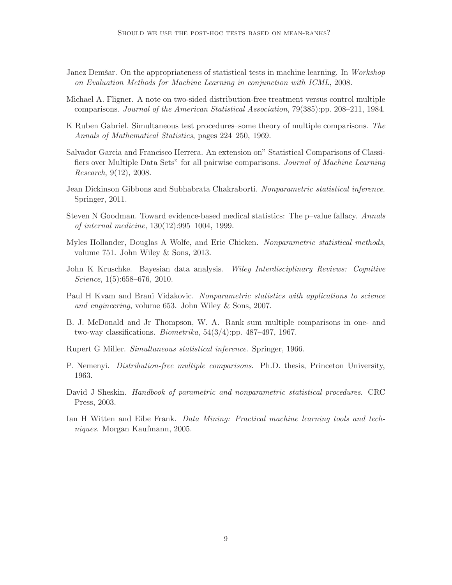- Janez Demšar. On the appropriateness of statistical tests in machine learning. In Workshop on Evaluation Methods for Machine Learning in conjunction with ICML, 2008.
- Michael A. Fligner. A note on two-sided distribution-free treatment versus control multiple comparisons. Journal of the American Statistical Association, 79(385):pp. 208–211, 1984.
- K Ruben Gabriel. Simultaneous test procedures–some theory of multiple comparisons. The Annals of Mathematical Statistics, pages 224–250, 1969.
- Salvador Garcia and Francisco Herrera. An extension on" Statistical Comparisons of Classifiers over Multiple Data Sets" for all pairwise comparisons. Journal of Machine Learning Research, 9(12), 2008.
- Jean Dickinson Gibbons and Subhabrata Chakraborti. Nonparametric statistical inference. Springer, 2011.
- Steven N Goodman. Toward evidence-based medical statistics: The p–value fallacy. Annals of internal medicine, 130(12):995–1004, 1999.
- Myles Hollander, Douglas A Wolfe, and Eric Chicken. Nonparametric statistical methods, volume 751. John Wiley & Sons, 2013.
- John K Kruschke. Bayesian data analysis. Wiley Interdisciplinary Reviews: Cognitive Science, 1(5):658–676, 2010.
- Paul H Kvam and Brani Vidakovic. Nonparametric statistics with applications to science and engineering, volume 653. John Wiley & Sons, 2007.
- B. J. McDonald and Jr Thompson, W. A. Rank sum multiple comparisons in one- and two-way classifications. Biometrika, 54(3/4):pp. 487–497, 1967.
- Rupert G Miller. Simultaneous statistical inference. Springer, 1966.
- P. Nemenyi. Distribution-free multiple comparisons. Ph.D. thesis, Princeton University, 1963.
- David J Sheskin. Handbook of parametric and nonparametric statistical procedures. CRC Press, 2003.
- Ian H Witten and Eibe Frank. Data Mining: Practical machine learning tools and techniques. Morgan Kaufmann, 2005.